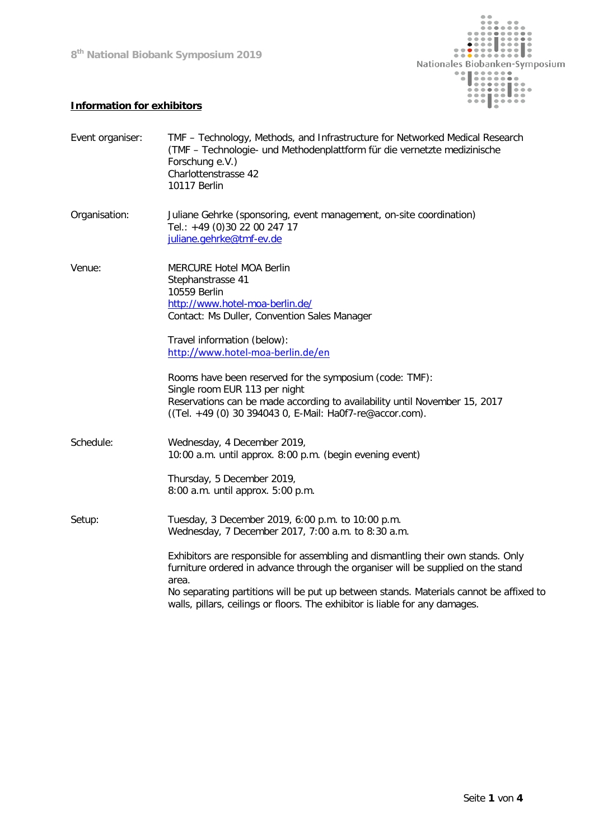**8th National Biobank Symposium 2019**



## **Information for exhibitors**

| Event organiser: | TMF - Technology, Methods, and Infrastructure for Networked Medical Research<br>(TMF - Technologie- und Methodenplattform für die vernetzte medizinische<br>Forschung e.V.)<br>Charlottenstrasse 42<br>10117 Berlin                                                                                                                                                                                                                                                |
|------------------|--------------------------------------------------------------------------------------------------------------------------------------------------------------------------------------------------------------------------------------------------------------------------------------------------------------------------------------------------------------------------------------------------------------------------------------------------------------------|
| Organisation:    | Juliane Gehrke (sponsoring, event management, on-site coordination)<br>Tel.: +49 (0) 30 22 00 247 17<br>juliane.gehrke@tmf-ev.de                                                                                                                                                                                                                                                                                                                                   |
| Venue:           | MERCURE Hotel MOA Berlin<br>Stephanstrasse 41<br>10559 Berlin<br>http://www.hotel-moa-berlin.de/<br>Contact: Ms Duller, Convention Sales Manager<br>Travel information (below):                                                                                                                                                                                                                                                                                    |
|                  | http://www.hotel-moa-berlin.de/en<br>Rooms have been reserved for the symposium (code: TMF):<br>Single room EUR 113 per night<br>Reservations can be made according to availability until November 15, 2017<br>((Tel. +49 (0) 30 394043 0, E-Mail: Ha0f7-re@accor.com).                                                                                                                                                                                            |
| Schedule:        | Wednesday, 4 December 2019,<br>10:00 a.m. until approx. 8:00 p.m. (begin evening event)<br>Thursday, 5 December 2019,<br>8:00 a.m. until approx. 5:00 p.m.                                                                                                                                                                                                                                                                                                         |
| Setup:           | Tuesday, 3 December 2019, 6:00 p.m. to 10:00 p.m.<br>Wednesday, 7 December 2017, 7:00 a.m. to 8:30 a.m.<br>Exhibitors are responsible for assembling and dismantling their own stands. Only<br>furniture ordered in advance through the organiser will be supplied on the stand<br>area.<br>No separating partitions will be put up between stands. Materials cannot be affixed to<br>walls, pillars, ceilings or floors. The exhibitor is liable for any damages. |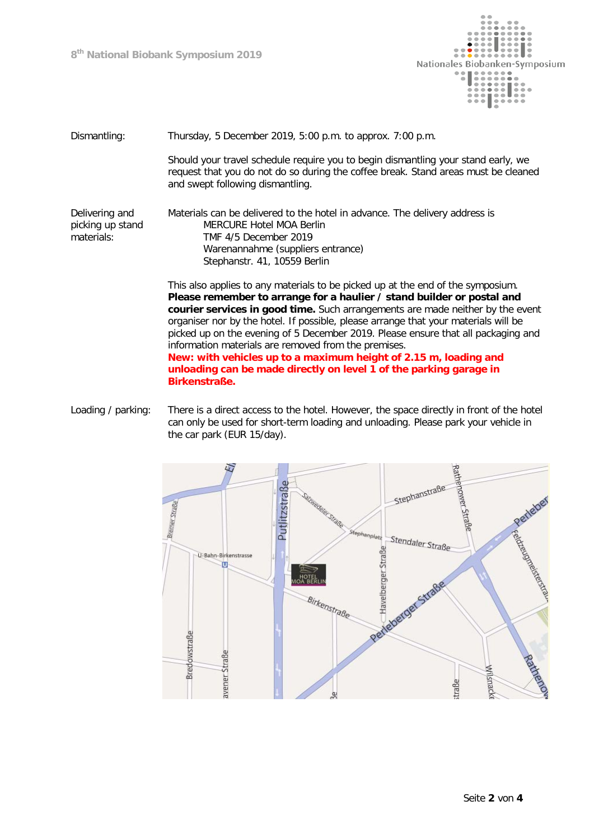**8th National Biobank Symposium 2019**



## Dismantling: Thursday, 5 December 2019, 5:00 p.m. to approx. 7:00 p.m.

Should your travel schedule require you to begin dismantling your stand early, we request that you do not do so during the coffee break. Stand areas must be cleaned and swept following dismantling.

Delivering and picking up stand materials: Materials can be delivered to the hotel in advance. The delivery address is MERCURE Hotel MOA Berlin TMF 4/5 December 2019 Warenannahme (suppliers entrance) Stephanstr. 41, 10559 Berlin

> This also applies to any materials to be picked up at the end of the symposium. **Please remember to arrange for a haulier / stand builder or postal and courier services in good time.** Such arrangements are made neither by the event organiser nor by the hotel. If possible, please arrange that your materials will be picked up on the evening of 5 December 2019. Please ensure that all packaging and information materials are removed from the premises. **New: with vehicles up to a maximum height of 2.15 m, loading and unloading can be made directly on level 1 of the parking garage in Birkenstraße.**

Loading / parking: There is a direct access to the hotel. However, the space directly in front of the hotel can only be used for short-term loading and unloading. Please park your vehicle in the car park (EUR 15/day).

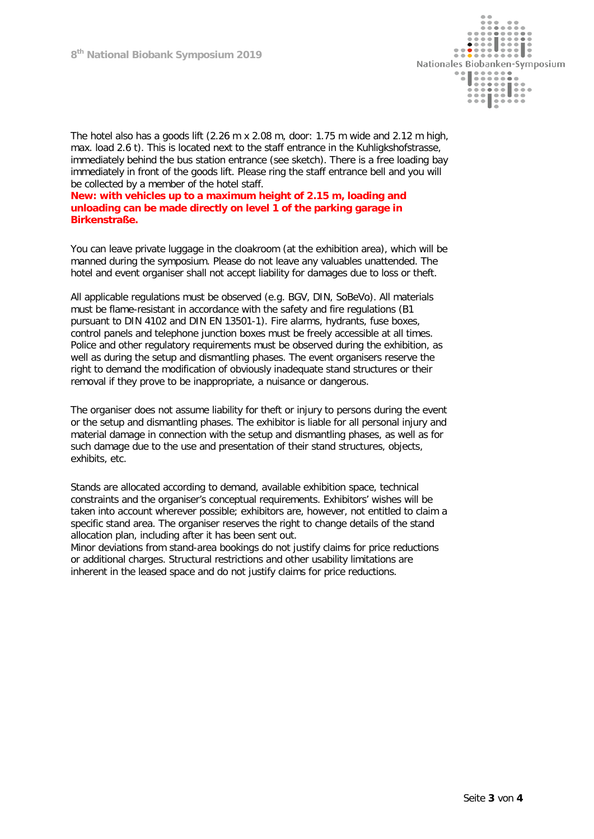

The hotel also has a goods lift (2.26 m x 2.08 m, door: 1.75 m wide and 2.12 m high, max. load 2.6 t). This is located next to the staff entrance in the Kuhligkshofstrasse, immediately behind the bus station entrance (see sketch). There is a free loading bay immediately in front of the goods lift. Please ring the staff entrance bell and you will be collected by a member of the hotel staff.

**New: with vehicles up to a maximum height of 2.15 m, loading and unloading can be made directly on level 1 of the parking garage in Birkenstraße.**

You can leave private luggage in the cloakroom (at the exhibition area), which will be manned during the symposium. Please do not leave any valuables unattended. The hotel and event organiser shall not accept liability for damages due to loss or theft.

All applicable regulations must be observed (e.g. BGV, DIN, SoBeVo). All materials must be flame-resistant in accordance with the safety and fire regulations (B1 pursuant to DIN 4102 and DIN EN 13501-1). Fire alarms, hydrants, fuse boxes, control panels and telephone junction boxes must be freely accessible at all times. Police and other regulatory requirements must be observed during the exhibition, as well as during the setup and dismantling phases. The event organisers reserve the right to demand the modification of obviously inadequate stand structures or their removal if they prove to be inappropriate, a nuisance or dangerous.

The organiser does not assume liability for theft or injury to persons during the event or the setup and dismantling phases. The exhibitor is liable for all personal injury and material damage in connection with the setup and dismantling phases, as well as for such damage due to the use and presentation of their stand structures, objects, exhibits, etc.

Stands are allocated according to demand, available exhibition space, technical constraints and the organiser's conceptual requirements. Exhibitors' wishes will be taken into account wherever possible; exhibitors are, however, not entitled to claim a specific stand area. The organiser reserves the right to change details of the stand allocation plan, including after it has been sent out.

Minor deviations from stand-area bookings do not justify claims for price reductions or additional charges. Structural restrictions and other usability limitations are inherent in the leased space and do not justify claims for price reductions.